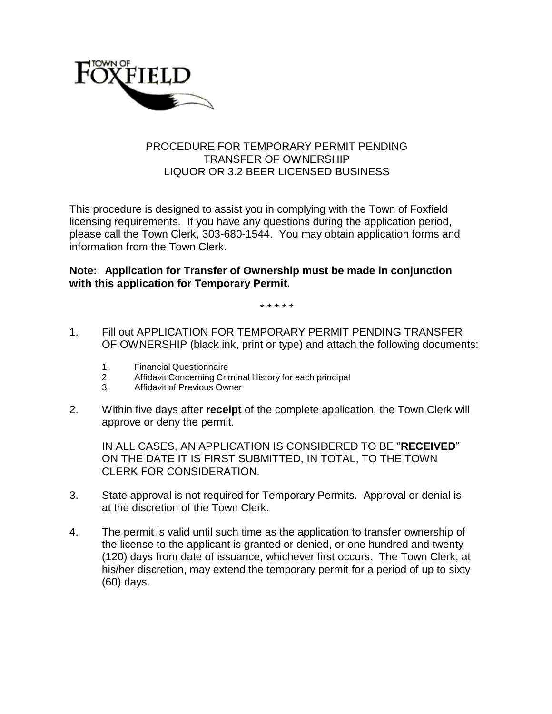

## PROCEDURE FOR TEMPORARY PERMIT PENDING TRANSFER OF OWNERSHIP LIQUOR OR 3.2 BEER LICENSED BUSINESS

This procedure is designed to assist you in complying with the Town of Foxfield licensing requirements. If you have any questions during the application period, please call the Town Clerk, 303-680-1544. You may obtain application forms and information from the Town Clerk.

## **Note: Application for Transfer of Ownership must be made in conjunction with this application for Temporary Permit.**

\* \* \* \* \*

- 1. Fill out APPLICATION FOR TEMPORARY PERMIT PENDING TRANSFER OF OWNERSHIP (black ink, print or type) and attach the following documents:
	- 1. Financial Questionnaire
	- 2. Affidavit Concerning Criminal History for each principal
	- 3. Affidavit of Previous Owner
- 2. Within five days after **receipt** of the complete application, the Town Clerk will approve or deny the permit.

IN ALL CASES, AN APPLICATION IS CONSIDERED TO BE "**RECEIVED**" ON THE DATE IT IS FIRST SUBMITTED, IN TOTAL, TO THE TOWN CLERK FOR CONSIDERATION.

- 3. State approval is not required for Temporary Permits. Approval or denial is at the discretion of the Town Clerk.
- 4. The permit is valid until such time as the application to transfer ownership of the license to the applicant is granted or denied, or one hundred and twenty (120) days from date of issuance, whichever first occurs. The Town Clerk, at his/her discretion, may extend the temporary permit for a period of up to sixty (60) days.